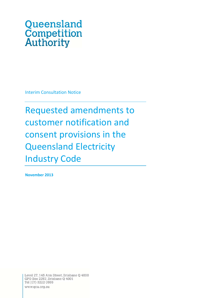# Queensland **Competition**<br>Authority

Interim Consultation Notice

Requested amendments to customer notification and consent provisions in the Queensland Electricity Industry Code

**November 2013**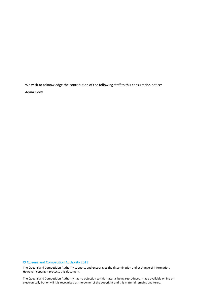We wish to acknowledge the contribution of the following staff to this consultation notice: Adam Liddy

## © Queensland Competition Authority 2013

The Queensland Competition Authority supports and encourages the dissemination and exchange of information. However, copyright protects this document.

 2 electronically but only if it is recognised as the owner of the copyright and this material remains unaltered.The Queensland Competition Authority has no objection to this material being reproduced, made available online or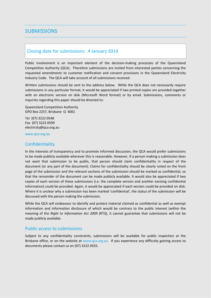## **SUBMISSIONS**

## Closing date for submissions: 4 January 2014

Public involvement is an important element of the decision-making processes of the Queensland Competition Authority (QCA). Therefore submissions are invited from interested parties concerning the requested amendments to customer notification and consent provisions in the Queensland Electricity Industry Code. The QCA will take account of all submissions received.

Written submissions should be sent to the address below. While the QCA does not necessarily require submissions in any particular format, it would be appreciated if two printed copies are provided together with an electronic version on disk (Microsoft Word format) or by email. Submissions, comments or inquiries regarding this paper should be directed to:

Queensland Competition Authority GPO Box 2257, Brisbane Q 4001

Tel (07) 3222 0548 Fax (07) 3222 0599 electricity@qca.org.au

www.qca.org.au

## **Confidentiality**

In the interests of transparency and to promote informed discussion, the QCA would prefer submissions to be made publicly available wherever this is reasonable. However, if a person making a submission does not want that submission to be public, that person should claim confidentiality in respect of the document (or any part of the document). Claims for confidentiality should be clearly noted on the front page of the submission and the relevant sections of the submission should be marked as confidential, so that the remainder of the document can be made publicly available. It would also be appreciated if two copies of each version of these submissions (i.e. the complete version and another excising confidential information) could be provided. Again, it would be appreciated if each version could be provided on disk. Where it is unclear why a submission has been marked 'confidential', the status of the submission will be discussed with the person making the submission.

While the QCA will endeavour to identify and protect material claimed as confidential as well as exempt information and information disclosure of which would be contrary to the public interest (within the meaning of the *Right to Information Act 2009* (RTI)), it cannot guarantee that submissions will not be made publicly available.

#### Public access to submissions

Subject to any confidentiality constraints, submissions will be available for public inspection at the Brisbane office, or on the website at www.qca.org.au. If you experience any difficulty gaining access to documents please contact us on (07) 3222 0555.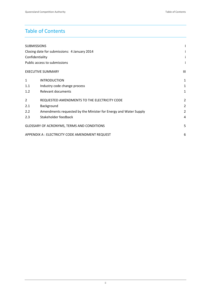# Table of Contents

| <b>SUBMISSIONS</b>                              |                                                                  |                |
|-------------------------------------------------|------------------------------------------------------------------|----------------|
| Closing date for submissions: 4 January 2014    |                                                                  |                |
| Confidentiality                                 |                                                                  |                |
| Public access to submissions                    |                                                                  | i              |
|                                                 | <b>EXECUTIVE SUMMARY</b>                                         | Ш              |
| $\mathbf{1}$                                    | <b>INTRODUCTION</b>                                              | 1              |
| 1.1                                             | Industry code change process                                     | 1              |
| 1.2                                             | Relevant documents                                               | 1              |
| $\overline{2}$                                  | REQUESTED AMENDMENTS TO THE ELECTRICITY CODE                     | 2              |
| 2.1                                             | Background                                                       | $\overline{2}$ |
| 2.2                                             | Amendments requested by the Minister for Energy and Water Supply | 2              |
| 2.3                                             | Stakeholder feedback                                             | 4              |
| GLOSSARY OF ACRONYMS, TERMS AND CONDITIONS      |                                                                  |                |
| APPENDIX A : ELECTRICITY CODE AMENDMENT REQUEST |                                                                  |                |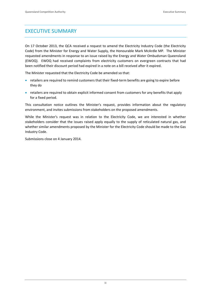## EXECUTIVE SUMMARY

On 17 October 2013, the QCA received a request to amend the Electricity Industry Code (the Electricity Code) from the Minister for Energy and Water Supply, the Honourable Mark McArdle MP. The Minister requested amendments in response to an issue raised by the Energy and Water Ombudsman Queensland (EWOQ). EWOQ had received complaints from electricity customers on evergreen contracts that had been notified their discount period had expired in a note on a bill received after it expired.

The Minister requested that the Electricity Code be amended so that:

- retailers are required to remind customers that their fixed-term benefits are going to expire before they do
- retailers are required to obtain explicit informed consent from customers for any benefits that apply for a fixed period.

This consultation notice outlines the Minister's request, provides information about the regulatory environment, and invites submissions from stakeholders on the proposed amendments.

While the Minister's request was in relation to the Electricity Code, we are interested in whether stakeholders consider that the issues raised apply equally to the supply of reticulated natural gas, and whether similar amendments proposed by the Minister for the Electricity Code should be made to the Gas Industry Code.

Submissions close on 4 January 2014.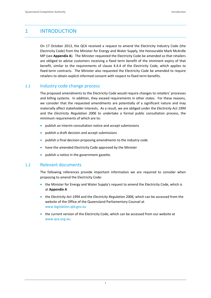## 1 INTRODUCTION

On 17 October 2013, the QCA received a request to amend the Electricity Industry Code (the Electricity Code) from the Minister for Energy and Water Supply, the Honourable Mark McArdle MP (see **Appendix A**). The Minister requested the Electricity Code be amended so that retailers are obliged to advise customers receiving a fixed term benefit of the imminent expiry of that benefit, similar to the requirements of clause 4.4.4 of the Electricity Code, which applies to fixed-term contracts. The Minister also requested the Electricity Code be amended to require retailers to obtain explicit informed consent with respect to fixed term benefits.

## 1.1 Industry code change process

The proposed amendments to the Electricity Code would require changes to retailers' processes and billing systems. In addition, they exceed requirements in other states. For these reasons, we consider that the requested amendments are potentially of a significant nature and may materially affect stakeholder interests. As a result, we are obliged under the *Electricity Act 1994* and the *Electricity Regulation 2006* to undertake a formal public consultation process, the minimum requirements of which are to:

- publish an interim consultation notice and accept submissions
- publish a draft decision and accept submissions
- publish a final decision proposing amendments to the industry code
- have the amended Electricity Code approved by the Minister
- publish a notice in the government gazette.

## 1.2 Relevant documents

The following references provide important information we are required to consider when proposing to amend the Electricity Code:

- the Minister for Energy and Water Supply's request to amend the Electricity Code, which is at **Appendix A**
- the *Electricity Act 1994* and the *Electricity Regulation 2006,* which can be accessed from the website of the Office of the Queensland Parliamentary Counsel at www.legislation.qld.gov.au
- the current version of the Electricity Code, which can be accessed from our website at www.qca.org.au.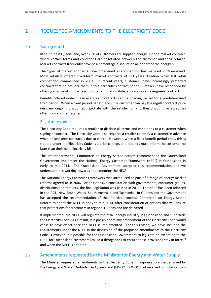## 2 REQUESTED AMENDMENTS TO THE ELECTRICITY CODE

## 2.1 Background

In south‐east Queensland, over 70% of customers are supplied energy under a market contract, where certain terms and conditions are negotiated between the customer and their retailer. Market contracts frequently provide a percentage discount on all or part of the energy bill.

The types of market contracts have broadened as competition has matured in Queensland. Most retailers offered fixed-term market contracts of 1-3 years duration when full retail competition commenced in 2007. In recent years, customers have increasingly preferred contracts that do not lock them in to a particular contract period. Retailers have responded by offering a range of contracts without a termination date, also known as 'evergreen' contracts.

Benefits offered under these evergreen contracts can be ongoing, or set for a predetermined fixed period. When a fixed period benefit ends, the customer can pay the regular contract price (less any ongoing discounts), negotiate with the retailer for a further discount, or accept an offer from another retailer.

## Regulatory context

The Electricity Code requires a retailer to disclose all terms and conditions to a customer when signing a contract. The Electricity Code also requires a retailer to notify a customer in advance when a fixed-term contract is due to expire. However, when a fixed benefit period ends, this is treated under the Electricity Code as a price change, and retailers must inform the customer no later than their next electricity bill.

The Interdepartmental Committee on Energy Sector Reform recommended the Queensland Government implement the National Energy Customer Framework (NECF) in Queensland in early to mid-2014. The Queensland Government accepted this recommendation and we understand it is working towards implementing the NECF.

The National Energy Customer Framework was introduced as part of a range of energy market reforms agreed to in 2006. After extensive consultation with governments, consumer groups, distributors and retailers, the final legislation was passed in 2011. The NECF has been adopted in the ACT, New South Wales, South Australia and Tasmania. In Queensland the Government has accepted the recommendation of the Interdepartmental Committee on Energy Sector Reform to adopt the NECF in early to mid‐2014, after consideration of options that will ensure that protections for customers in regional Queensland are delivered.

If implemented, the NECF will regulate the retail energy industry in Queensland and supersede the Electricity Code. As a result, it is possible that any amendment of the Electricity Code would cease to have effect once the NECF is implemented. For this reason, we have included the requirements under the NECF in the discussion of the proposed amendments to the Electricity Code. However, it is possible for the Queensland Government to legislate an exception to the NECF for Queensland customers (called a derogation) to ensure these provisions stay in force if and when the NECF is adopted.

## 2.2 Amendments requested by the Minister for Energy and Water Supply

The Minister requested amendments to the Electricity Code in response to an issue raised by the Energy and Water Ombudsman Queensland (EWOQ). EWOQ had received complaints from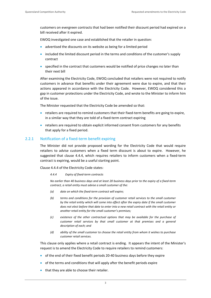customers on evergreen contracts that had been notified their discount period had expired on a bill received after it expired.

EWOQ investigated one case and established that the retailer in question:

- advertised the discounts on its website as being for a limited period
- included the limited discount period in the terms and conditions of the customer's supply contract
- specified in the contract that customers would be notified of price changes no later than their next bill

After examining the Electricity Code, EWOQ concluded that retailers were not required to notify customers in advance that benefits under their agreement were due to expire, and that their actions appeared in accordance with the Electricity Code. However, EWOQ considered this a gap in customer protections under the Electricity Code, and wrote to the Minister to inform him of the issue.

The Minister requested that the Electricity Code be amended so that:

- retailers are required to remind customers that their fixed-term benefits are going to expire, in a similar way that they are told of a fixed-term contract expiring
- retailers are required to obtain explicit informed consent from customers for any benefits that apply for a fixed period.

#### 2.2.1 Notification of a fixed-term benefit expiring

The Minister did not provide proposed wording for the Electricity Code that would require retailers to advise customers when a fixed term discount is about to expire. However, he suggested that clause 4.4.4, which requires retailers to inform customers when a fixed-term contract is expiring, would be a useful starting point.

Clause 4.4.4 of the Electricity Code states:

*4.4.4 Expiry of fixed‐term contracts* 

No earlier than 40 business days and at least 20 business days prior to the expiry of a fixed-term *contract, a retail entity must advise a small customer of the:*

- *(a) date on which the fixed‐term contract will expire;*
- *(b) terms and conditions for the provision of customer retail services to the small customer by the retail entity which will come into effect after the expiry date if the small customer does not elect before that date to enter into a new retail contract with the retail entity or another retail entity for the small customer's premises;*
- *(c) existence of the other contractual options that may be available for the purchase of customer retail services by that small customer at that premises and a general description of each; and*
- *(d) ability of the small customer to choose the retail entity from whom it wishes to purchase customer retail services.*

This clause only applies where a retail contract is ending. It appears the intent of the Minister's request is to amend the Electricity Code to require retailers to remind customers:

- of the end of their fixed benefit periods 20‐40 business days before they expire
- of the terms and conditions that will apply after the benefit periods expire
- that they are able to choose their retailer.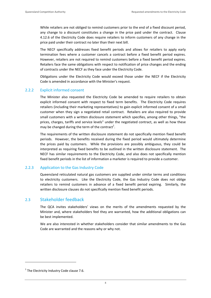While retailers are not obliged to remind customers prior to the end of a fixed discount period, any change to a discount constitutes a change in the price paid under the contract. Clause 4.12.6 of the Electricity Code does require retailers to inform customers of any change in the price paid under their contract no later than their next bill.

The NECF specifically addresses fixed benefit periods and allows for retailers to apply early termination fees where a customer cancels a contract before a fixed benefit period expires. However, retailers are not required to remind customers before a fixed benefit period expires. Retailers face the same obligations with respect to notification of price changes and the ending of contracts under the NECF as they face under the Electricity Code.

Obligations under the Electricity Code would exceed those under the NECF if the Electricity Code is amended in accordance with the Minister's request.

#### 2.2.2 Explicit informed consent

The Minister also requested the Electricity Code be amended to require retailers to obtain explicit informed consent with respect to fixed term benefits. The Electricity Code requires retailers (including their marketing representatives) to gain explicit informed consent of a small customer when they sign a negotiated retail contract. Retailers are also required to provide small customers with a written disclosure statement which specifies, among other things, "the prices, charges, tariffs and service levels" under the negotiated contract, as well as how these may be changed during the term of the contract<sup>1</sup>.

The requirements of the written disclosure statement do not specifically mention fixed benefit periods. However, the benefits received during the fixed period would ultimately determine the prices paid by customers. While the provisions are possibly ambiguous, they could be interpreted as requiring fixed benefits to be outlined in the written disclosure statement. The NECF has similar requirements to the Electricity Code, and also does not specifically mention fixed benefit periods in the list of information a marketer is required to provide a customer.

#### 2.2.3 Application to the Gas Industry Code

Queensland reticulated natural gas customers are supplied under similar terms and conditions to electricity customers. Like the Electricity Code, the Gas Industry Code does not oblige retailers to remind customers in advance of a fixed benefit period expiring. Similarly, the written disclosure clauses do not specifically mention fixed benefit periods.

#### 2.3 Stakeholder feedback

The QCA invites stakeholders' views on the merits of the amendments requested by the Minister and, where stakeholders feel they are warranted, how the additional obligations can be best implemented.

We are also interested in whether stakeholders consider that similar amendments to the Gas Code are warranted and the reasons why or why not.

<u> Andrew Maria (1989)</u>

 $1$ <sup>1</sup> The Electricity Industry Code clause 7.6.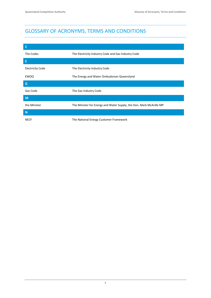# GLOSSARY OF ACRONYMS, TERMS AND CONDITIONS

| $\mathsf{C}$            |                                                                    |  |  |
|-------------------------|--------------------------------------------------------------------|--|--|
| The Codes               | The Electricity Industry Code and Gas Industry Code                |  |  |
| E                       |                                                                    |  |  |
| <b>Electricity Code</b> | The Electricity Industry Code                                      |  |  |
| EWOQ                    | The Energy and Water Ombudsman Queensland                          |  |  |
| G                       |                                                                    |  |  |
| Gas Code                | The Gas Industry Code                                              |  |  |
| M                       |                                                                    |  |  |
| the Minister            | The Minister for Energy and Water Supply, the Hon. Mark McArdle MP |  |  |
| N                       |                                                                    |  |  |
| <b>NECF</b>             | The National Energy Customer Framework                             |  |  |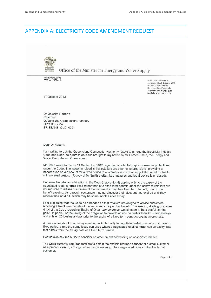## APPENDIX A: ELECTRICITY CODE AMENDMENT REQUEST



Queensland Office of the Minister for Energy and Water Supply

Ref: EWS/003892 CTS No. 24924/13

level 13 Mineral House 41 George Street Brisbane 4000 PO Box 15456 City East Queensland 4002 Australia Telephone +6t 7 3896 3691 Facsimile +61 7 3012 9115

17 October 2013

Dr Malcolm Roberts Chairman Queensland Competition Authority GPO Box 2257 BRISBANE QLD 4001

Dear Dr Roberts

I am writing to ask the Queensland Competition Authority (QCA) to amend the Electricity Industry Code (the Code) to address an issue brought to my notice by Mr Forbes Smith, the Energy and Water Ombudsman Queensland.

Mr Smith wrote to me on 11 September 2013 regarding a potential gap in consumer protections under the Code. The issue he raised is that retailers are offering 'energy plans' providing a benefit such as a discount for a fixed period to customers who are on negotiated retail contracts with no fixed period. (A copy of Mr Smith's letter, its annexures and legal advice is enclosed).

Because the relevant obligation in the Code (clause 4.4.4) applies only to the expiry of the negotiated retail contract itself rather than of a fixed term benefit under the contract, retailers are not required to advise customers of the imminent expiry their fixed term benefit, prior to the benefit expiring. As a result, customers may not discover their discount has expired until they receive their next bill, which may be some months after expiry.

I am proposing that the Code be amended so that retailers are obliged to advise customers receiving a fixed term benefit of the imminent expiry of that benefit. The existing drafting of clause 4.4.4 of the Code regarding 'Expiry of fixed term contracts' would seem to be a useful starting point. In particular the timing of the obligation to provide advice no earlier than 40 business days and at least 20 business days prior to the expiry of a fixed term contract seems appropriate.

A new clause should not, in my opinion, be limited only to negotiated retail contracts that have no fixed period, since the same issue can arise where a negotiated retail contract has an expiry date that differs from the expiry date of a fixed term benefit.

I would also ask the QCA to consider an amendment addressing an associated matter.

The Code currently requires retailers to obtain the explicit informed consent of a small customer as a precondition to, amongst other things, entering into a negotiated retail contract with that customer.

Page 1 of 2